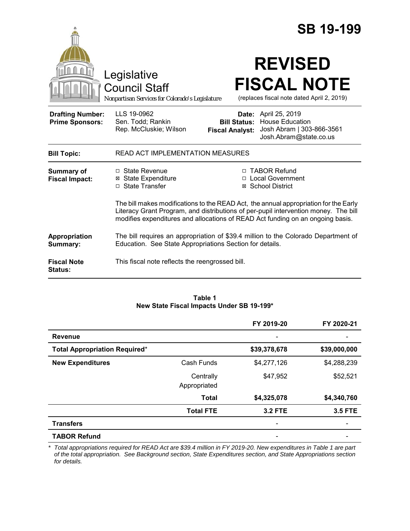|                                                   |                                                                                                                                                                                                                                                               |                                               | <b>SB 19-199</b>                                                                                             |
|---------------------------------------------------|---------------------------------------------------------------------------------------------------------------------------------------------------------------------------------------------------------------------------------------------------------------|-----------------------------------------------|--------------------------------------------------------------------------------------------------------------|
|                                                   | Legislative<br><b>Council Staff</b><br>Nonpartisan Services for Colorado's Legislature                                                                                                                                                                        |                                               | <b>REVISED</b><br><b>FISCAL NOTE</b><br>(replaces fiscal note dated April 2, 2019)                           |
| <b>Drafting Number:</b><br><b>Prime Sponsors:</b> | LLS 19-0962<br>Sen. Todd; Rankin<br>Rep. McCluskie; Wilson                                                                                                                                                                                                    | <b>Bill Status:</b><br><b>Fiscal Analyst:</b> | <b>Date:</b> April 25, 2019<br><b>House Education</b><br>Josh Abram   303-866-3561<br>Josh.Abram@state.co.us |
| <b>Bill Topic:</b>                                | <b>READ ACT IMPLEMENTATION MEASURES</b>                                                                                                                                                                                                                       |                                               |                                                                                                              |
| <b>Summary of</b><br><b>Fiscal Impact:</b>        | □ State Revenue<br><b>⊠</b> State Expenditure<br>□ State Transfer                                                                                                                                                                                             |                                               | □ TABOR Refund<br>□ Local Government<br>⊠ School District                                                    |
|                                                   | The bill makes modifications to the READ Act, the annual appropriation for the Early<br>Literacy Grant Program, and distributions of per-pupil intervention money. The bill<br>modifies expenditures and allocations of READ Act funding on an ongoing basis. |                                               |                                                                                                              |
| Appropriation<br>Summary:                         | Education. See State Appropriations Section for details.                                                                                                                                                                                                      |                                               | The bill requires an appropriation of \$39.4 million to the Colorado Department of                           |
| <b>Fiscal Note</b><br>Status:                     | This fiscal note reflects the reengrossed bill.                                                                                                                                                                                                               |                                               |                                                                                                              |

### **Table 1 New State Fiscal Impacts Under SB 19-199\***

|                                      |                           | FY 2019-20               | FY 2020-21     |
|--------------------------------------|---------------------------|--------------------------|----------------|
| <b>Revenue</b>                       |                           |                          |                |
| <b>Total Appropriation Required*</b> |                           | \$39,378,678             | \$39,000,000   |
| <b>New Expenditures</b>              | Cash Funds                | \$4,277,126              | \$4,288,239    |
|                                      | Centrally<br>Appropriated | \$47,952                 | \$52,521       |
|                                      | <b>Total</b>              | \$4,325,078              | \$4,340,760    |
|                                      | <b>Total FTE</b>          | <b>3.2 FTE</b>           | <b>3.5 FTE</b> |
| <b>Transfers</b>                     |                           | $\overline{\phantom{0}}$ |                |
| <b>TABOR Refund</b>                  |                           | ۰                        |                |

*\* Total appropriations required for READ Act are \$39.4 million in FY 2019-20. New expenditures in Table 1 are part of the total appropriation. See Background section, State Expenditures section, and State Appropriations section for details.*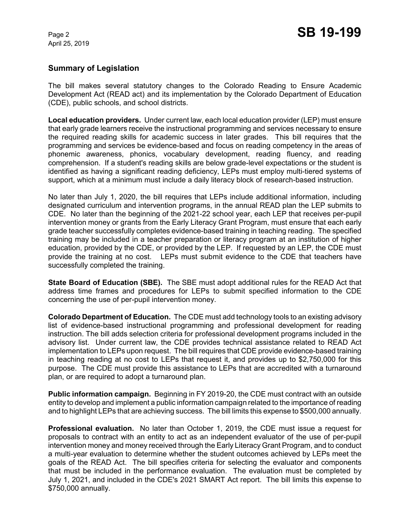## **Summary of Legislation**

The bill makes several statutory changes to the Colorado Reading to Ensure Academic Development Act (READ act) and its implementation by the Colorado Department of Education (CDE), public schools, and school districts.

**Local education providers.** Under current law, each local education provider (LEP) must ensure that early grade learners receive the instructional programming and services necessary to ensure the required reading skills for academic success in later grades. This bill requires that the programming and services be evidence-based and focus on reading competency in the areas of phonemic awareness, phonics, vocabulary development, reading fluency, and reading comprehension. If a student's reading skills are below grade-level expectations or the student is identified as having a significant reading deficiency, LEPs must employ multi-tiered systems of support, which at a minimum must include a daily literacy block of research-based instruction.

No later than July 1, 2020, the bill requires that LEPs include additional information, including designated curriculum and intervention programs, in the annual READ plan the LEP submits to CDE. No later than the beginning of the 2021-22 school year, each LEP that receives per-pupil intervention money or grants from the Early Literacy Grant Program, must ensure that each early grade teacher successfully completes evidence-based training in teaching reading. The specified training may be included in a teacher preparation or literacy program at an institution of higher education, provided by the CDE, or provided by the LEP. If requested by an LEP, the CDE must provide the training at no cost. LEPs must submit evidence to the CDE that teachers have successfully completed the training.

**State Board of Education (SBE).** The SBE must adopt additional rules for the READ Act that address time frames and procedures for LEPs to submit specified information to the CDE concerning the use of per-pupil intervention money.

**Colorado Department of Education.** The CDE must add technology tools to an existing advisory list of evidence-based instructional programming and professional development for reading instruction. The bill adds selection criteria for professional development programs included in the advisory list. Under current law, the CDE provides technical assistance related to READ Act implementation to LEPs upon request. The bill requires that CDE provide evidence-based training in teaching reading at no cost to LEPs that request it, and provides up to \$2,750,000 for this purpose. The CDE must provide this assistance to LEPs that are accredited with a turnaround plan, or are required to adopt a turnaround plan.

**Public information campaign.** Beginning in FY 2019-20, the CDE must contract with an outside entity to develop and implement a public information campaign related to the importance of reading and to highlight LEPs that are achieving success. The bill limits this expense to \$500,000 annually.

**Professional evaluation.** No later than October 1, 2019, the CDE must issue a request for proposals to contract with an entity to act as an independent evaluator of the use of per-pupil intervention money and money received through the Early Literacy Grant Program, and to conduct a multi-year evaluation to determine whether the student outcomes achieved by LEPs meet the goals of the READ Act. The bill specifies criteria for selecting the evaluator and components that must be included in the performance evaluation. The evaluation must be completed by July 1, 2021, and included in the CDE's 2021 SMART Act report. The bill limits this expense to \$750,000 annually.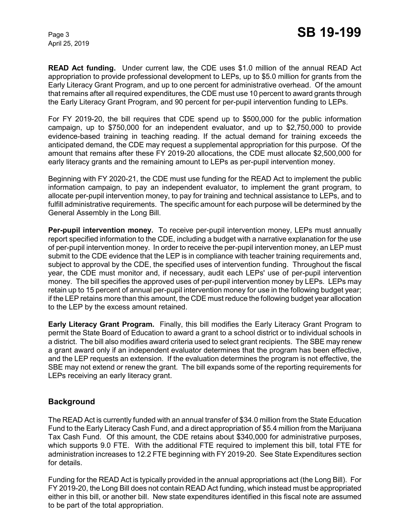**READ Act funding.** Under current law, the CDE uses \$1.0 million of the annual READ Act appropriation to provide professional development to LEPs, up to \$5.0 million for grants from the Early Literacy Grant Program, and up to one percent for administrative overhead. Of the amount that remains after all required expenditures, the CDE must use 10 percent to award grants through the Early Literacy Grant Program, and 90 percent for per-pupil intervention funding to LEPs.

For FY 2019-20, the bill requires that CDE spend up to \$500,000 for the public information campaign, up to \$750,000 for an independent evaluator, and up to \$2,750,000 to provide evidence-based training in teaching reading. If the actual demand for training exceeds the anticipated demand, the CDE may request a supplemental appropriation for this purpose. Of the amount that remains after these FY 2019-20 allocations, the CDE must allocate \$2,500,000 for early literacy grants and the remaining amount to LEPs as per-pupil intervention money.

Beginning with FY 2020-21, the CDE must use funding for the READ Act to implement the public information campaign, to pay an independent evaluator, to implement the grant program, to allocate per-pupil intervention money, to pay for training and technical assistance to LEPs, and to fulfill administrative requirements. The specific amount for each purpose will be determined by the General Assembly in the Long Bill.

**Per-pupil intervention money.** To receive per-pupil intervention money, LEPs must annually report specified information to the CDE, including a budget with a narrative explanation for the use of per-pupil intervention money. In order to receive the per-pupil intervention money, an LEP must submit to the CDE evidence that the LEP is in compliance with teacher training requirements and, subject to approval by the CDE, the specified uses of intervention funding. Throughout the fiscal year, the CDE must monitor and, if necessary, audit each LEPs' use of per-pupil intervention money. The bill specifies the approved uses of per-pupil intervention money by LEPs. LEPs may retain up to 15 percent of annual per-pupil intervention money for use in the following budget year; if the LEP retains more than this amount, the CDE must reduce the following budget year allocation to the LEP by the excess amount retained.

**Early Literacy Grant Program.** Finally, this bill modifies the Early Literacy Grant Program to permit the State Board of Education to award a grant to a school district or to individual schools in a district. The bill also modifies award criteria used to select grant recipients. The SBE may renew a grant award only if an independent evaluator determines that the program has been effective, and the LEP requests an extension. If the evaluation determines the program is not effective, the SBE may not extend or renew the grant. The bill expands some of the reporting requirements for LEPs receiving an early literacy grant.

### **Background**

The READ Act is currently funded with an annual transfer of \$34.0 million from the State Education Fund to the Early Literacy Cash Fund, and a direct appropriation of \$5.4 million from the Marijuana Tax Cash Fund. Of this amount, the CDE retains about \$340,000 for administrative purposes, which supports 9.0 FTE. With the additional FTE required to implement this bill, total FTE for administration increases to 12.2 FTE beginning with FY 2019-20. See State Expenditures section for details.

Funding for the READ Act is typically provided in the annual appropriations act (the Long Bill). For FY 2019-20, the Long Bill does not contain READ Act funding, which instead must be appropriated either in this bill, or another bill. New state expenditures identified in this fiscal note are assumed to be part of the total appropriation.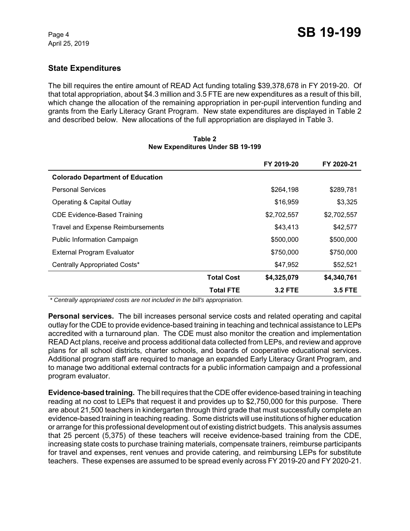# **State Expenditures**

The bill requires the entire amount of READ Act funding totaling \$39,378,678 in FY 2019-20. Of that total appropriation, about \$4.3 million and 3.5 FTE are new expenditures as a result of this bill, which change the allocation of the remaining appropriation in per-pupil intervention funding and grants from the Early Literacy Grant Program. New state expenditures are displayed in Table 2 and described below. New allocations of the full appropriation are displayed in Table 3.

|                                          |                   | FY 2019-20     | FY 2020-21     |
|------------------------------------------|-------------------|----------------|----------------|
| <b>Colorado Department of Education</b>  |                   |                |                |
| <b>Personal Services</b>                 |                   | \$264,198      | \$289,781      |
| Operating & Capital Outlay               |                   | \$16,959       | \$3,325        |
| <b>CDE Evidence-Based Training</b>       |                   | \$2,702,557    | \$2,702,557    |
| <b>Travel and Expense Reimbursements</b> |                   | \$43,413       | \$42,577       |
| <b>Public Information Campaign</b>       |                   | \$500,000      | \$500,000      |
| <b>External Program Evaluator</b>        |                   | \$750,000      | \$750,000      |
| Centrally Appropriated Costs*            |                   | \$47,952       | \$52,521       |
|                                          | <b>Total Cost</b> | \$4,325,079    | \$4,340,761    |
|                                          | <b>Total FTE</b>  | <b>3.2 FTE</b> | <b>3.5 FTE</b> |

### **Table 2 New Expenditures Under SB 19-199**

 *\* Centrally appropriated costs are not included in the bill's appropriation.*

**Personal services.** The bill increases personal service costs and related operating and capital outlay for the CDE to provide evidence-based training in teaching and technical assistance to LEPs accredited with a turnaround plan. The CDE must also monitor the creation and implementation READ Act plans, receive and process additional data collected from LEPs, and review and approve plans for all school districts, charter schools, and boards of cooperative educational services. Additional program staff are required to manage an expanded Early Literacy Grant Program, and to manage two additional external contracts for a public information campaign and a professional program evaluator.

**Evidence-based training.** The bill requires that the CDE offer evidence-based training in teaching reading at no cost to LEPs that request it and provides up to \$2,750,000 for this purpose. There are about 21,500 teachers in kindergarten through third grade that must successfully complete an evidence-based training in teaching reading. Some districts will use institutions of higher education or arrange for this professional development out of existing district budgets. This analysis assumes that 25 percent (5,375) of these teachers will receive evidence-based training from the CDE, increasing state costs to purchase training materials, compensate trainers, reimburse participants for travel and expenses, rent venues and provide catering, and reimbursing LEPs for substitute teachers. These expenses are assumed to be spread evenly across FY 2019-20 and FY 2020-21.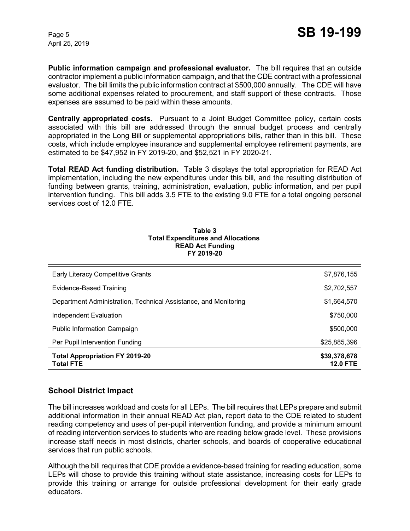**Public information campaign and professional evaluator.** The bill requires that an outside contractor implement a public information campaign, and that the CDE contract with a professional evaluator. The bill limits the public information contract at \$500,000 annually. The CDE will have some additional expenses related to procurement, and staff support of these contracts. Those expenses are assumed to be paid within these amounts.

**Centrally appropriated costs.** Pursuant to a Joint Budget Committee policy, certain costs associated with this bill are addressed through the annual budget process and centrally appropriated in the Long Bill or supplemental appropriations bills, rather than in this bill. These costs, which include employee insurance and supplemental employee retirement payments, are estimated to be \$47,952 in FY 2019-20, and \$52,521 in FY 2020-21.

**Total READ Act funding distribution.** Table 3 displays the total appropriation for READ Act implementation, including the new expenditures under this bill, and the resulting distribution of funding between grants, training, administration, evaluation, public information, and per pupil intervention funding. This bill adds 3.5 FTE to the existing 9.0 FTE for a total ongoing personal services cost of 12.0 FTE.

| <b>Early Literacy Competitive Grants</b>                        | \$7,876,155                     |
|-----------------------------------------------------------------|---------------------------------|
| Evidence-Based Training                                         | \$2,702,557                     |
| Department Administration, Technical Assistance, and Monitoring | \$1,664,570                     |
| Independent Evaluation                                          | \$750,000                       |
| Public Information Campaign                                     | \$500,000                       |
| Per Pupil Intervention Funding                                  | \$25,885,396                    |
| <b>Total Appropriation FY 2019-20</b><br><b>Total FTE</b>       | \$39,378,678<br><b>12.0 FTE</b> |

#### **Table 3 Total Expenditures and Allocations READ Act Funding FY 2019-20**

# **School District Impact**

The bill increases workload and costs for all LEPs. The bill requires that LEPs prepare and submit additional information in their annual READ Act plan, report data to the CDE related to student reading competency and uses of per-pupil intervention funding, and provide a minimum amount of reading intervention services to students who are reading below grade level. These provisions increase staff needs in most districts, charter schools, and boards of cooperative educational services that run public schools.

Although the bill requires that CDE provide a evidence-based training for reading education, some LEPs will chose to provide this training without state assistance, increasing costs for LEPs to provide this training or arrange for outside professional development for their early grade educators.